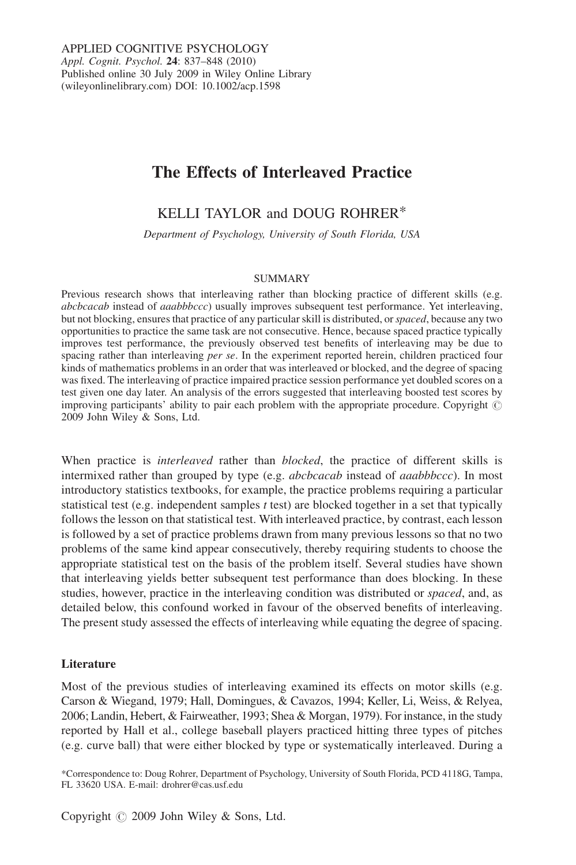# The Effects of Interleaved Practice

# KELLI TAYLOR and DOUG ROHRER\*

Department of Psychology, University of South Florida, USA

#### SUMMARY

Previous research shows that interleaving rather than blocking practice of different skills (e.g. abcbcacab instead of aaabbbccc) usually improves subsequent test performance. Yet interleaving, but not blocking, ensures that practice of any particular skill is distributed, or *spaced*, because any two opportunities to practice the same task are not consecutive. Hence, because spaced practice typically improves test performance, the previously observed test benefits of interleaving may be due to spacing rather than interleaving per se. In the experiment reported herein, children practiced four kinds of mathematics problems in an order that was interleaved or blocked, and the degree of spacing was fixed. The interleaving of practice impaired practice session performance yet doubled scores on a test given one day later. An analysis of the errors suggested that interleaving boosted test scores by improving participants' ability to pair each problem with the appropriate procedure. Copyright  $\circledcirc$ 2009 John Wiley & Sons, Ltd.

When practice is *interleaved* rather than *blocked*, the practice of different skills is intermixed rather than grouped by type (e.g. *abcbcacab* instead of *aaabbbccc*). In most introductory statistics textbooks, for example, the practice problems requiring a particular statistical test (e.g. independent samples t test) are blocked together in a set that typically follows the lesson on that statistical test. With interleaved practice, by contrast, each lesson is followed by a set of practice problems drawn from many previous lessons so that no two problems of the same kind appear consecutively, thereby requiring students to choose the appropriate statistical test on the basis of the problem itself. Several studies have shown that interleaving yields better subsequent test performance than does blocking. In these studies, however, practice in the interleaving condition was distributed or *spaced*, and, as detailed below, this confound worked in favour of the observed benefits of interleaving. The present study assessed the effects of interleaving while equating the degree of spacing.

### **Literature**

Most of the previous studies of interleaving examined its effects on motor skills (e.g. Carson & Wiegand, 1979; Hall, Domingues, & Cavazos, 1994; Keller, Li, Weiss, & Relyea, 2006; Landin, Hebert, & Fairweather, 1993; Shea & Morgan, 1979). For instance, in the study reported by Hall et al., college baseball players practiced hitting three types of pitches (e.g. curve ball) that were either blocked by type or systematically interleaved. During a

\*Correspondence to: Doug Rohrer, Department of Psychology, University of South Florida, PCD 4118G, Tampa, FL 33620 USA. E-mail: drohrer@cas.usf.edu

Copyright  $\odot$  2009 John Wiley & Sons, Ltd.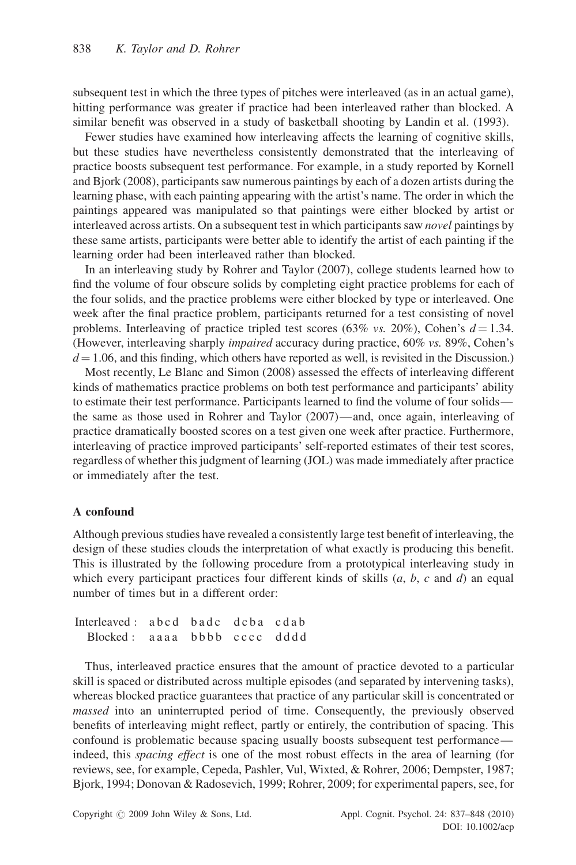subsequent test in which the three types of pitches were interleaved (as in an actual game), hitting performance was greater if practice had been interleaved rather than blocked. A similar benefit was observed in a study of basketball shooting by Landin et al. (1993).

Fewer studies have examined how interleaving affects the learning of cognitive skills, but these studies have nevertheless consistently demonstrated that the interleaving of practice boosts subsequent test performance. For example, in a study reported by Kornell and Bjork (2008), participants saw numerous paintings by each of a dozen artists during the learning phase, with each painting appearing with the artist's name. The order in which the paintings appeared was manipulated so that paintings were either blocked by artist or interleaved across artists. On a subsequent test in which participants saw *novel* paintings by these same artists, participants were better able to identify the artist of each painting if the learning order had been interleaved rather than blocked.

In an interleaving study by Rohrer and Taylor (2007), college students learned how to find the volume of four obscure solids by completing eight practice problems for each of the four solids, and the practice problems were either blocked by type or interleaved. One week after the final practice problem, participants returned for a test consisting of novel problems. Interleaving of practice tripled test scores (63% vs. 20%), Cohen's  $d = 1.34$ . (However, interleaving sharply impaired accuracy during practice, 60% vs. 89%, Cohen's  $d = 1.06$ , and this finding, which others have reported as well, is revisited in the Discussion.)

Most recently, Le Blanc and Simon (2008) assessed the effects of interleaving different kinds of mathematics practice problems on both test performance and participants' ability to estimate their test performance. Participants learned to find the volume of four solids the same as those used in Rohrer and Taylor (2007)—and, once again, interleaving of practice dramatically boosted scores on a test given one week after practice. Furthermore, interleaving of practice improved participants' self-reported estimates of their test scores, regardless of whether this judgment of learning (JOL) was made immediately after practice or immediately after the test.

### A confound

Although previous studies have revealed a consistently large test benefit of interleaving, the design of these studies clouds the interpretation of what exactly is producing this benefit. This is illustrated by the following procedure from a prototypical interleaving study in which every participant practices four different kinds of skills  $(a, b, c \text{ and } d)$  an equal number of times but in a different order:

Interleaved : abcd badc dcba cdab Blocked : aaaa bbbb cccc dddd

Thus, interleaved practice ensures that the amount of practice devoted to a particular skill is spaced or distributed across multiple episodes (and separated by intervening tasks), whereas blocked practice guarantees that practice of any particular skill is concentrated or *massed* into an uninterrupted period of time. Consequently, the previously observed benefits of interleaving might reflect, partly or entirely, the contribution of spacing. This confound is problematic because spacing usually boosts subsequent test performance indeed, this *spacing effect* is one of the most robust effects in the area of learning (for reviews, see, for example, Cepeda, Pashler, Vul, Wixted, & Rohrer, 2006; Dempster, 1987; Bjork, 1994; Donovan & Radosevich, 1999; Rohrer, 2009; for experimental papers, see, for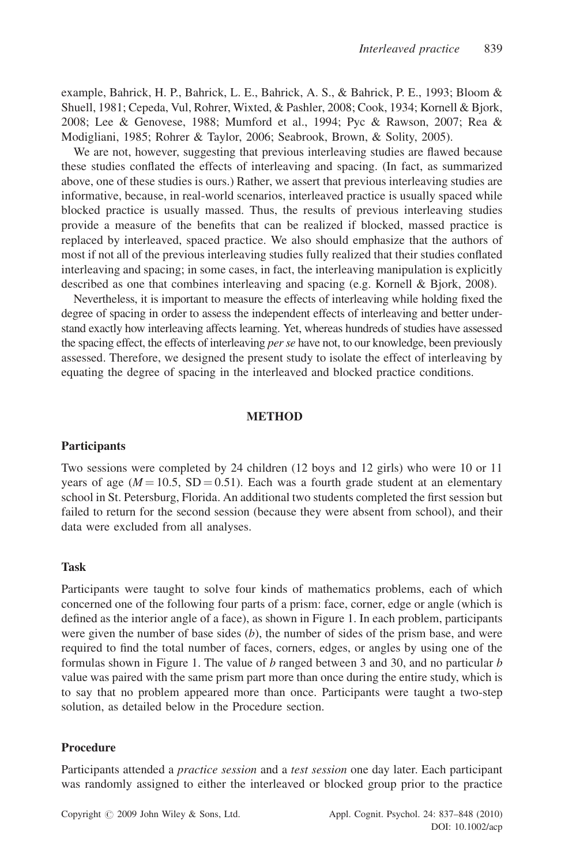example, Bahrick, H. P., Bahrick, L. E., Bahrick, A. S., & Bahrick, P. E., 1993; Bloom & Shuell, 1981; Cepeda, Vul, Rohrer, Wixted, & Pashler, 2008; Cook, 1934; Kornell & Bjork, 2008; Lee & Genovese, 1988; Mumford et al., 1994; Pyc & Rawson, 2007; Rea & Modigliani, 1985; Rohrer & Taylor, 2006; Seabrook, Brown, & Solity, 2005).

We are not, however, suggesting that previous interleaving studies are flawed because these studies conflated the effects of interleaving and spacing. (In fact, as summarized above, one of these studies is ours.) Rather, we assert that previous interleaving studies are informative, because, in real-world scenarios, interleaved practice is usually spaced while blocked practice is usually massed. Thus, the results of previous interleaving studies provide a measure of the benefits that can be realized if blocked, massed practice is replaced by interleaved, spaced practice. We also should emphasize that the authors of most if not all of the previous interleaving studies fully realized that their studies conflated interleaving and spacing; in some cases, in fact, the interleaving manipulation is explicitly described as one that combines interleaving and spacing (e.g. Kornell & Bjork, 2008).

Nevertheless, it is important to measure the effects of interleaving while holding fixed the degree of spacing in order to assess the independent effects of interleaving and better understand exactly how interleaving affects learning. Yet, whereas hundreds of studies have assessed the spacing effect, the effects of interleaving *per se* have not, to our knowledge, been previously assessed. Therefore, we designed the present study to isolate the effect of interleaving by equating the degree of spacing in the interleaved and blocked practice conditions.

## **METHOD**

### Participants

Two sessions were completed by 24 children (12 boys and 12 girls) who were 10 or 11 years of age  $(M = 10.5, SD = 0.51)$ . Each was a fourth grade student at an elementary school in St. Petersburg, Florida. An additional two students completed the first session but failed to return for the second session (because they were absent from school), and their data were excluded from all analyses.

## Task

Participants were taught to solve four kinds of mathematics problems, each of which concerned one of the following four parts of a prism: face, corner, edge or angle (which is defined as the interior angle of a face), as shown in Figure 1. In each problem, participants were given the number of base sides  $(b)$ , the number of sides of the prism base, and were required to find the total number of faces, corners, edges, or angles by using one of the formulas shown in Figure 1. The value of  $b$  ranged between 3 and 30, and no particular  $b$ value was paired with the same prism part more than once during the entire study, which is to say that no problem appeared more than once. Participants were taught a two-step solution, as detailed below in the Procedure section.

#### Procedure

Participants attended a *practice session* and a *test session* one day later. Each participant was randomly assigned to either the interleaved or blocked group prior to the practice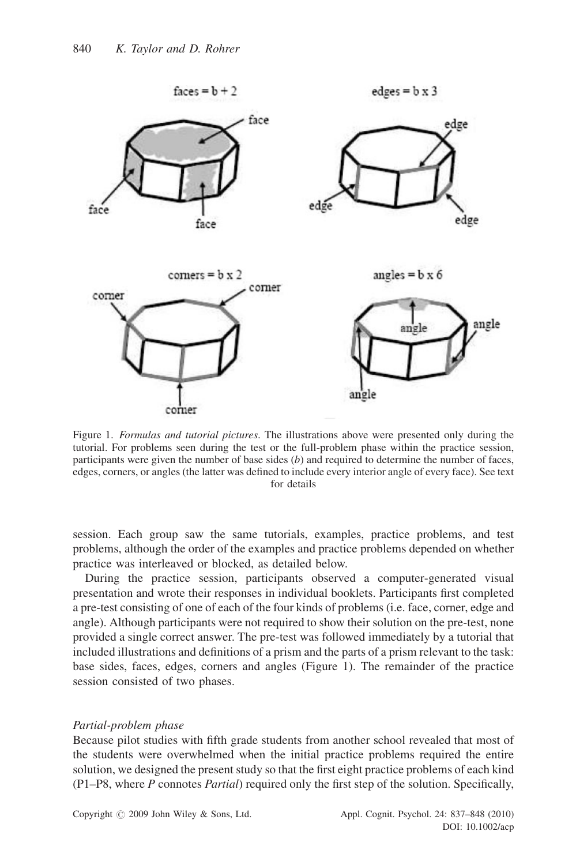

Figure 1. Formulas and tutorial pictures. The illustrations above were presented only during the tutorial. For problems seen during the test or the full-problem phase within the practice session, participants were given the number of base sides  $(b)$  and required to determine the number of faces, edges, corners, or angles (the latter was defined to include every interior angle of every face). See text for details

session. Each group saw the same tutorials, examples, practice problems, and test problems, although the order of the examples and practice problems depended on whether practice was interleaved or blocked, as detailed below.

During the practice session, participants observed a computer-generated visual presentation and wrote their responses in individual booklets. Participants first completed a pre-test consisting of one of each of the four kinds of problems (i.e. face, corner, edge and angle). Although participants were not required to show their solution on the pre-test, none provided a single correct answer. The pre-test was followed immediately by a tutorial that included illustrations and definitions of a prism and the parts of a prism relevant to the task: base sides, faces, edges, corners and angles (Figure 1). The remainder of the practice session consisted of two phases.

#### Partial-problem phase

Because pilot studies with fifth grade students from another school revealed that most of the students were overwhelmed when the initial practice problems required the entire solution, we designed the present study so that the first eight practice problems of each kind (P1–P8, where P connotes Partial) required only the first step of the solution. Specifically,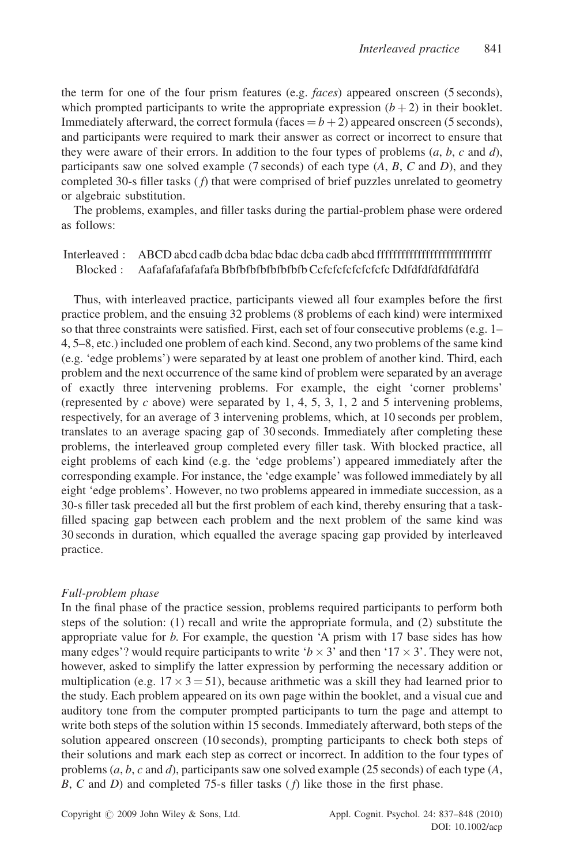the term for one of the four prism features (e.g. faces) appeared onscreen (5 seconds), which prompted participants to write the appropriate expression  $(b+2)$  in their booklet. Immediately afterward, the correct formula (faces  $= b + 2$ ) appeared onscreen (5 seconds), and participants were required to mark their answer as correct or incorrect to ensure that they were aware of their errors. In addition to the four types of problems  $(a, b, c \text{ and } d)$ , participants saw one solved example (7 seconds) of each type  $(A, B, C \text{ and } D)$ , and they completed 30-s filler tasks  $(f)$  that were comprised of brief puzzles unrelated to geometry or algebraic substitution.

The problems, examples, and filler tasks during the partial-problem phase were ordered as follows:

Interleaved : ABCD abcd cadb dcba bdac bdac dcba cadb abcd ffffffffffffffffffffffffffff Blocked : Aafafafafafafafa Bbfbfbfbfbfbfbfb Ccfcfcfcfcfcfcfc Ddfdfdfdfdfdfdfd

Thus, with interleaved practice, participants viewed all four examples before the first practice problem, and the ensuing 32 problems (8 problems of each kind) were intermixed so that three constraints were satisfied. First, each set of four consecutive problems (e.g. 1– 4, 5–8, etc.) included one problem of each kind. Second, any two problems of the same kind (e.g. 'edge problems') were separated by at least one problem of another kind. Third, each problem and the next occurrence of the same kind of problem were separated by an average of exactly three intervening problems. For example, the eight 'corner problems' (represented by  $c$  above) were separated by 1, 4, 5, 3, 1, 2 and 5 intervening problems, respectively, for an average of 3 intervening problems, which, at 10 seconds per problem, translates to an average spacing gap of 30 seconds. Immediately after completing these problems, the interleaved group completed every filler task. With blocked practice, all eight problems of each kind (e.g. the 'edge problems') appeared immediately after the corresponding example. For instance, the 'edge example' was followed immediately by all eight 'edge problems'. However, no two problems appeared in immediate succession, as a 30-s filler task preceded all but the first problem of each kind, thereby ensuring that a taskfilled spacing gap between each problem and the next problem of the same kind was 30 seconds in duration, which equalled the average spacing gap provided by interleaved practice.

# Full-problem phase

In the final phase of the practice session, problems required participants to perform both steps of the solution: (1) recall and write the appropriate formula, and (2) substitute the appropriate value for  $b$ . For example, the question  $A$  prism with 17 base sides has how many edges'? would require participants to write ' $b \times 3$ ' and then '17  $\times 3$ '. They were not, however, asked to simplify the latter expression by performing the necessary addition or multiplication (e.g.  $17 \times 3 = 51$ ), because arithmetic was a skill they had learned prior to the study. Each problem appeared on its own page within the booklet, and a visual cue and auditory tone from the computer prompted participants to turn the page and attempt to write both steps of the solution within 15 seconds. Immediately afterward, both steps of the solution appeared onscreen (10 seconds), prompting participants to check both steps of their solutions and mark each step as correct or incorrect. In addition to the four types of problems  $(a, b, c \text{ and } d)$ , participants saw one solved example (25 seconds) of each type  $(A, b, c \text{ and } d)$ , B, C and D) and completed 75-s filler tasks  $(f)$  like those in the first phase.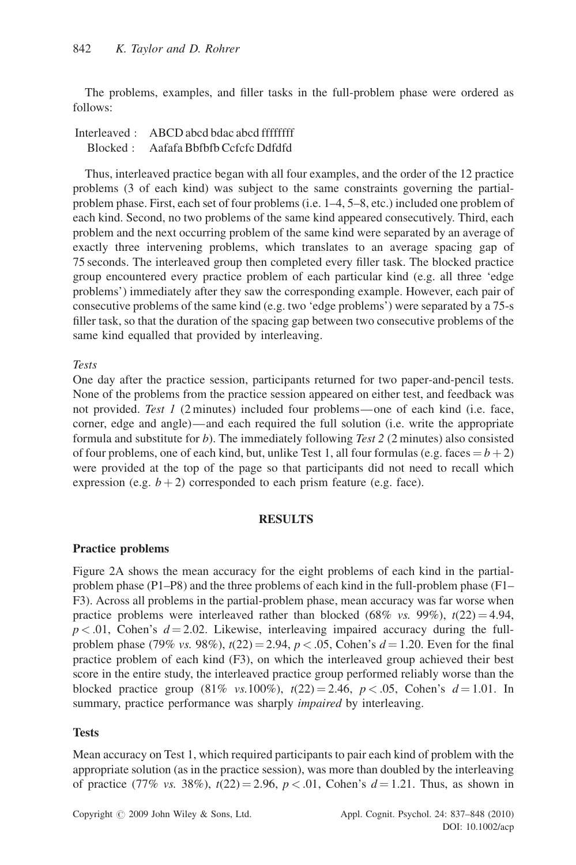The problems, examples, and filler tasks in the full-problem phase were ordered as follows:

| Interleaved : | ABCD abcd bdac abcd ffffffff |
|---------------|------------------------------|
| Blocked:      | Aafafa Bhfhfh Cefefe Ddfdfd  |

Thus, interleaved practice began with all four examples, and the order of the 12 practice problems (3 of each kind) was subject to the same constraints governing the partialproblem phase. First, each set of four problems (i.e. 1–4, 5–8, etc.) included one problem of each kind. Second, no two problems of the same kind appeared consecutively. Third, each problem and the next occurring problem of the same kind were separated by an average of exactly three intervening problems, which translates to an average spacing gap of 75 seconds. The interleaved group then completed every filler task. The blocked practice group encountered every practice problem of each particular kind (e.g. all three 'edge problems') immediately after they saw the corresponding example. However, each pair of consecutive problems of the same kind (e.g. two 'edge problems') were separated by a 75-s filler task, so that the duration of the spacing gap between two consecutive problems of the same kind equalled that provided by interleaving.

## Tests

One day after the practice session, participants returned for two paper-and-pencil tests. None of the problems from the practice session appeared on either test, and feedback was not provided. Test 1 (2 minutes) included four problems—one of each kind (i.e. face, corner, edge and angle)—and each required the full solution (i.e. write the appropriate formula and substitute for b). The immediately following Test 2 (2 minutes) also consisted of four problems, one of each kind, but, unlike Test 1, all four formulas (e.g. faces  $= b + 2$ ) were provided at the top of the page so that participants did not need to recall which expression (e.g.  $b+2$ ) corresponded to each prism feature (e.g. face).

### **RESULTS**

# Practice problems

Figure 2A shows the mean accuracy for the eight problems of each kind in the partialproblem phase (P1–P8) and the three problems of each kind in the full-problem phase (F1– F3). Across all problems in the partial-problem phase, mean accuracy was far worse when practice problems were interleaved rather than blocked (68% vs. 99%),  $t(22) = 4.94$ ,  $p < .01$ , Cohen's  $d = 2.02$ . Likewise, interleaving impaired accuracy during the fullproblem phase (79% vs. 98%),  $t(22) = 2.94$ ,  $p < .05$ , Cohen's  $d = 1.20$ . Even for the final practice problem of each kind (F3), on which the interleaved group achieved their best score in the entire study, the interleaved practice group performed reliably worse than the blocked practice group (81% vs.100%),  $t(22) = 2.46$ ,  $p < .05$ , Cohen's  $d = 1.01$ . In summary, practice performance was sharply *impaired* by interleaving.

# **Tests**

Mean accuracy on Test 1, which required participants to pair each kind of problem with the appropriate solution (as in the practice session), was more than doubled by the interleaving of practice (77% vs. 38%),  $t(22) = 2.96$ ,  $p < .01$ , Cohen's  $d = 1.21$ . Thus, as shown in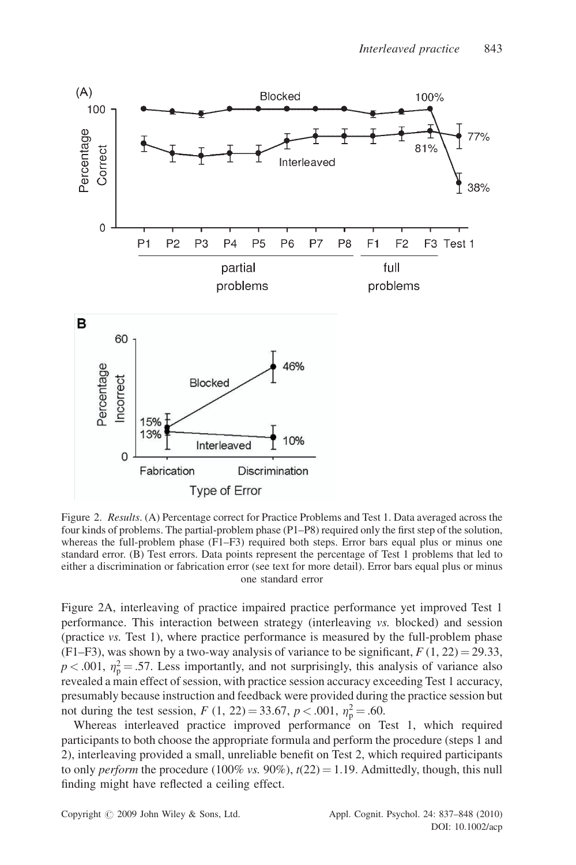

Figure 2. Results. (A) Percentage correct for Practice Problems and Test 1. Data averaged across the four kinds of problems. The partial-problem phase (P1–P8) required only the first step of the solution, whereas the full-problem phase (F1–F3) required both steps. Error bars equal plus or minus one standard error. (B) Test errors. Data points represent the percentage of Test 1 problems that led to either a discrimination or fabrication error (see text for more detail). Error bars equal plus or minus one standard error

Figure 2A, interleaving of practice impaired practice performance yet improved Test 1 performance. This interaction between strategy (interleaving vs. blocked) and session (practice vs. Test 1), where practice performance is measured by the full-problem phase (F1–F3), was shown by a two-way analysis of variance to be significant,  $F(1, 22) = 29.33$ ,  $p < .001$ ,  $\eta_p^2 = .57$ . Less importantly, and not surprisingly, this analysis of variance also revealed a main effect of session, with practice session accuracy exceeding Test 1 accuracy, presumably because instruction and feedback were provided during the practice session but not during the test session,  $F(1, 22) = 33.67, p < .001, \eta_{\rm p}^2 = .60$ .

Whereas interleaved practice improved performance on Test 1, which required participants to both choose the appropriate formula and perform the procedure (steps 1 and 2), interleaving provided a small, unreliable benefit on Test 2, which required participants to only *perform* the procedure (100% vs. 90%),  $t(22) = 1.19$ . Admittedly, though, this null finding might have reflected a ceiling effect.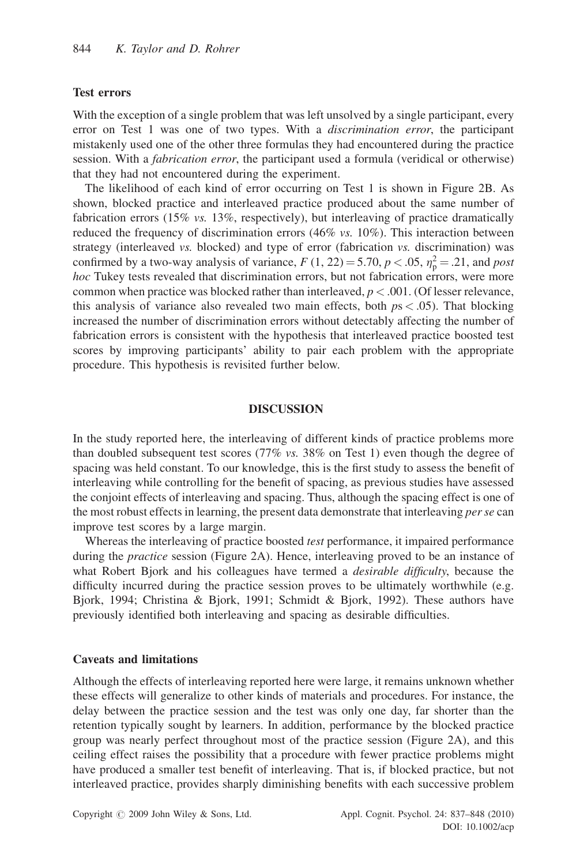#### Test errors

With the exception of a single problem that was left unsolved by a single participant, every error on Test 1 was one of two types. With a *discrimination error*, the participant mistakenly used one of the other three formulas they had encountered during the practice session. With a *fabrication error*, the participant used a formula (veridical or otherwise) that they had not encountered during the experiment.

The likelihood of each kind of error occurring on Test 1 is shown in Figure 2B. As shown, blocked practice and interleaved practice produced about the same number of fabrication errors (15% vs. 13%, respectively), but interleaving of practice dramatically reduced the frequency of discrimination errors  $(46\% \text{ vs. } 10\%)$ . This interaction between strategy (interleaved vs. blocked) and type of error (fabrication vs. discrimination) was confirmed by a two-way analysis of variance,  $F(1, 22) = 5.70, p < .05, \eta_{\rm p}^2 = .21$ , and post hoc Tukey tests revealed that discrimination errors, but not fabrication errors, were more common when practice was blocked rather than interleaved,  $p < .001$ . (Of lesser relevance, this analysis of variance also revealed two main effects, both  $ps < .05$ ). That blocking increased the number of discrimination errors without detectably affecting the number of fabrication errors is consistent with the hypothesis that interleaved practice boosted test scores by improving participants' ability to pair each problem with the appropriate procedure. This hypothesis is revisited further below.

#### DISCUSSION

In the study reported here, the interleaving of different kinds of practice problems more than doubled subsequent test scores  $(77\% \text{ vs. } 38\% \text{ on Test 1})$  even though the degree of spacing was held constant. To our knowledge, this is the first study to assess the benefit of interleaving while controlling for the benefit of spacing, as previous studies have assessed the conjoint effects of interleaving and spacing. Thus, although the spacing effect is one of the most robust effects in learning, the present data demonstrate that interleaving *per se* can improve test scores by a large margin.

Whereas the interleaving of practice boosted *test* performance, it impaired performance during the *practice* session (Figure 2A). Hence, interleaving proved to be an instance of what Robert Bjork and his colleagues have termed a *desirable difficulty*, because the difficulty incurred during the practice session proves to be ultimately worthwhile (e.g. Bjork, 1994; Christina & Bjork, 1991; Schmidt & Bjork, 1992). These authors have previously identified both interleaving and spacing as desirable difficulties.

#### Caveats and limitations

Although the effects of interleaving reported here were large, it remains unknown whether these effects will generalize to other kinds of materials and procedures. For instance, the delay between the practice session and the test was only one day, far shorter than the retention typically sought by learners. In addition, performance by the blocked practice group was nearly perfect throughout most of the practice session (Figure 2A), and this ceiling effect raises the possibility that a procedure with fewer practice problems might have produced a smaller test benefit of interleaving. That is, if blocked practice, but not interleaved practice, provides sharply diminishing benefits with each successive problem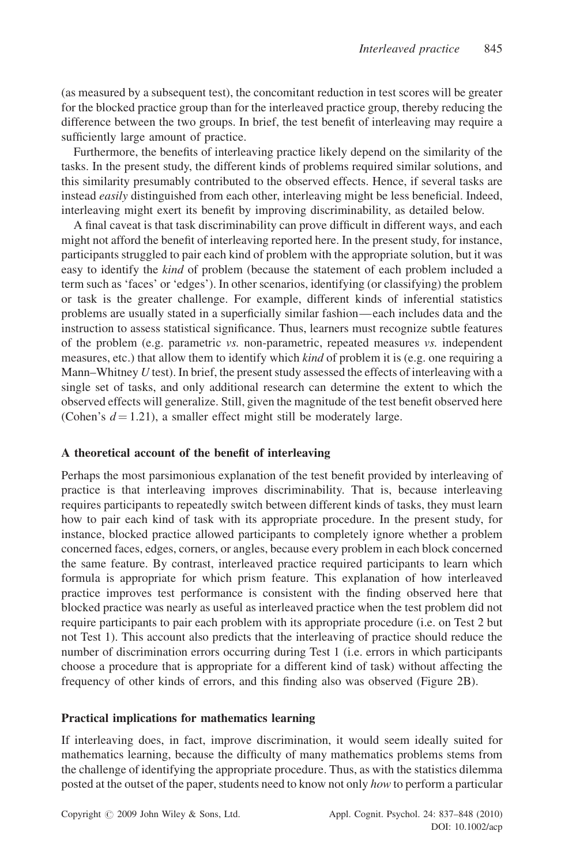(as measured by a subsequent test), the concomitant reduction in test scores will be greater for the blocked practice group than for the interleaved practice group, thereby reducing the difference between the two groups. In brief, the test benefit of interleaving may require a sufficiently large amount of practice.

Furthermore, the benefits of interleaving practice likely depend on the similarity of the tasks. In the present study, the different kinds of problems required similar solutions, and this similarity presumably contributed to the observed effects. Hence, if several tasks are instead *easily* distinguished from each other, interleaving might be less beneficial. Indeed, interleaving might exert its benefit by improving discriminability, as detailed below.

A final caveat is that task discriminability can prove difficult in different ways, and each might not afford the benefit of interleaving reported here. In the present study, for instance, participants struggled to pair each kind of problem with the appropriate solution, but it was easy to identify the kind of problem (because the statement of each problem included a term such as 'faces' or 'edges'). In other scenarios, identifying (or classifying) the problem or task is the greater challenge. For example, different kinds of inferential statistics problems are usually stated in a superficially similar fashion—each includes data and the instruction to assess statistical significance. Thus, learners must recognize subtle features of the problem (e.g. parametric vs. non-parametric, repeated measures vs. independent measures, etc.) that allow them to identify which kind of problem it is (e.g. one requiring a Mann–Whitney  $U$  test). In brief, the present study assessed the effects of interleaving with a single set of tasks, and only additional research can determine the extent to which the observed effects will generalize. Still, given the magnitude of the test benefit observed here (Cohen's  $d = 1.21$ ), a smaller effect might still be moderately large.

# A theoretical account of the benefit of interleaving

Perhaps the most parsimonious explanation of the test benefit provided by interleaving of practice is that interleaving improves discriminability. That is, because interleaving requires participants to repeatedly switch between different kinds of tasks, they must learn how to pair each kind of task with its appropriate procedure. In the present study, for instance, blocked practice allowed participants to completely ignore whether a problem concerned faces, edges, corners, or angles, because every problem in each block concerned the same feature. By contrast, interleaved practice required participants to learn which formula is appropriate for which prism feature. This explanation of how interleaved practice improves test performance is consistent with the finding observed here that blocked practice was nearly as useful as interleaved practice when the test problem did not require participants to pair each problem with its appropriate procedure (i.e. on Test 2 but not Test 1). This account also predicts that the interleaving of practice should reduce the number of discrimination errors occurring during Test 1 (i.e. errors in which participants choose a procedure that is appropriate for a different kind of task) without affecting the frequency of other kinds of errors, and this finding also was observed (Figure 2B).

## Practical implications for mathematics learning

If interleaving does, in fact, improve discrimination, it would seem ideally suited for mathematics learning, because the difficulty of many mathematics problems stems from the challenge of identifying the appropriate procedure. Thus, as with the statistics dilemma posted at the outset of the paper, students need to know not only how to perform a particular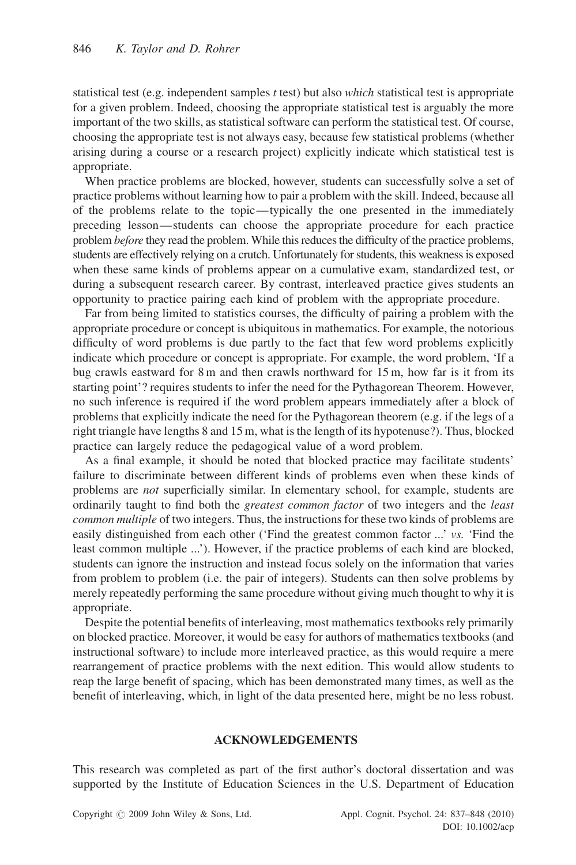statistical test (e.g. independent samples  $t$  test) but also which statistical test is appropriate for a given problem. Indeed, choosing the appropriate statistical test is arguably the more important of the two skills, as statistical software can perform the statistical test. Of course, choosing the appropriate test is not always easy, because few statistical problems (whether arising during a course or a research project) explicitly indicate which statistical test is appropriate.

When practice problems are blocked, however, students can successfully solve a set of practice problems without learning how to pair a problem with the skill. Indeed, because all of the problems relate to the topic—typically the one presented in the immediately preceding lesson—students can choose the appropriate procedure for each practice problem before they read the problem. While this reduces the difficulty of the practice problems, students are effectively relying on a crutch. Unfortunately for students, this weakness is exposed when these same kinds of problems appear on a cumulative exam, standardized test, or during a subsequent research career. By contrast, interleaved practice gives students an opportunity to practice pairing each kind of problem with the appropriate procedure.

Far from being limited to statistics courses, the difficulty of pairing a problem with the appropriate procedure or concept is ubiquitous in mathematics. For example, the notorious difficulty of word problems is due partly to the fact that few word problems explicitly indicate which procedure or concept is appropriate. For example, the word problem, 'If a bug crawls eastward for 8 m and then crawls northward for 15 m, how far is it from its starting point'? requires students to infer the need for the Pythagorean Theorem. However, no such inference is required if the word problem appears immediately after a block of problems that explicitly indicate the need for the Pythagorean theorem (e.g. if the legs of a right triangle have lengths 8 and 15 m, what is the length of its hypotenuse?). Thus, blocked practice can largely reduce the pedagogical value of a word problem.

As a final example, it should be noted that blocked practice may facilitate students' failure to discriminate between different kinds of problems even when these kinds of problems are not superficially similar. In elementary school, for example, students are ordinarily taught to find both the *greatest common factor* of two integers and the *least* common multiple of two integers. Thus, the instructions for these two kinds of problems are easily distinguished from each other ('Find the greatest common factor ...' vs. 'Find the least common multiple ...'). However, if the practice problems of each kind are blocked, students can ignore the instruction and instead focus solely on the information that varies from problem to problem (i.e. the pair of integers). Students can then solve problems by merely repeatedly performing the same procedure without giving much thought to why it is appropriate.

Despite the potential benefits of interleaving, most mathematics textbooks rely primarily on blocked practice. Moreover, it would be easy for authors of mathematics textbooks (and instructional software) to include more interleaved practice, as this would require a mere rearrangement of practice problems with the next edition. This would allow students to reap the large benefit of spacing, which has been demonstrated many times, as well as the benefit of interleaving, which, in light of the data presented here, might be no less robust.

#### ACKNOWLEDGEMENTS

This research was completed as part of the first author's doctoral dissertation and was supported by the Institute of Education Sciences in the U.S. Department of Education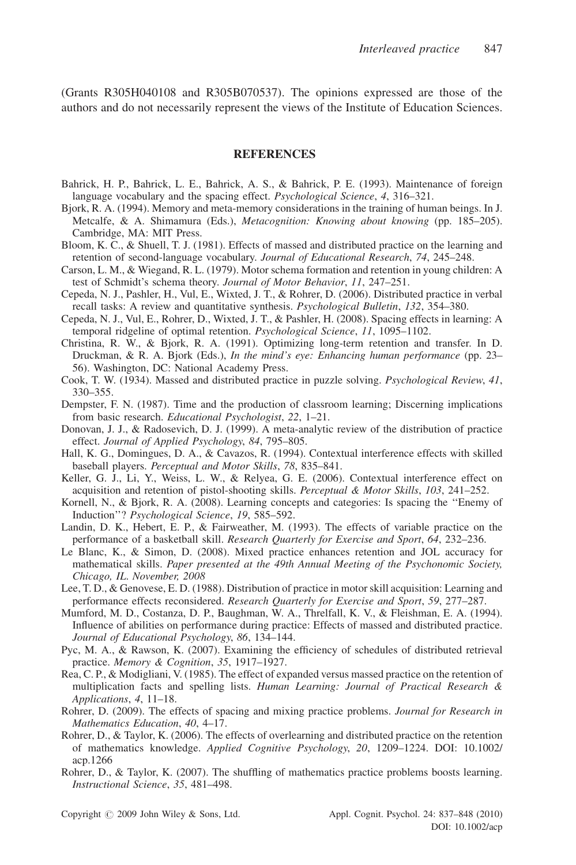(Grants R305H040108 and R305B070537). The opinions expressed are those of the authors and do not necessarily represent the views of the Institute of Education Sciences.

#### **REFERENCES**

- Bahrick, H. P., Bahrick, L. E., Bahrick, A. S., & Bahrick, P. E. (1993). Maintenance of foreign language vocabulary and the spacing effect. *Psychological Science*, 4, 316–321.
- Bjork, R. A. (1994). Memory and meta-memory considerations in the training of human beings. In J. Metcalfe, & A. Shimamura (Eds.), Metacognition: Knowing about knowing (pp. 185–205). Cambridge, MA: MIT Press.
- Bloom, K. C., & Shuell, T. J. (1981). Effects of massed and distributed practice on the learning and retention of second-language vocabulary. Journal of Educational Research, 74, 245-248.
- Carson, L. M., & Wiegand, R. L. (1979). Motor schema formation and retention in young children: A test of Schmidt's schema theory. Journal of Motor Behavior, 11, 247-251.
- Cepeda, N. J., Pashler, H., Vul, E., Wixted, J. T., & Rohrer, D. (2006). Distributed practice in verbal recall tasks: A review and quantitative synthesis. Psychological Bulletin, 132, 354–380.
- Cepeda, N. J., Vul, E., Rohrer, D., Wixted, J. T., & Pashler, H. (2008). Spacing effects in learning: A temporal ridgeline of optimal retention. *Psychological Science*, 11, 1095–1102.
- Christina, R. W., & Bjork, R. A. (1991). Optimizing long-term retention and transfer. In D. Druckman, & R. A. Bjork (Eds.), In the mind's eye: Enhancing human performance (pp. 23– 56). Washington, DC: National Academy Press.
- Cook, T. W. (1934). Massed and distributed practice in puzzle solving. Psychological Review, 41, 330–355.
- Dempster, F. N. (1987). Time and the production of classroom learning; Discerning implications from basic research. Educational Psychologist, 22, 1-21.
- Donovan, J. J., & Radosevich, D. J. (1999). A meta-analytic review of the distribution of practice effect. Journal of Applied Psychology, 84, 795-805.
- Hall, K. G., Domingues, D. A., & Cavazos, R. (1994). Contextual interference effects with skilled baseball players. Perceptual and Motor Skills, 78, 835-841.
- Keller, G. J., Li, Y., Weiss, L. W., & Relyea, G. E. (2006). Contextual interference effect on acquisition and retention of pistol-shooting skills. Perceptual & Motor Skills,  $103$ ,  $241-252$ .
- Kornell, N., & Bjork, R. A. (2008). Learning concepts and categories: Is spacing the ''Enemy of Induction''? Psychological Science, 19, 585–592.
- Landin, D. K., Hebert, E. P., & Fairweather, M. (1993). The effects of variable practice on the performance of a basketball skill. Research Quarterly for Exercise and Sport, 64, 232–236.
- Le Blanc, K., & Simon, D. (2008). Mixed practice enhances retention and JOL accuracy for mathematical skills. Paper presented at the 49th Annual Meeting of the Psychonomic Society, Chicago, IL. November, 2008
- Lee, T. D., & Genovese, E. D. (1988). Distribution of practice in motor skill acquisition: Learning and performance effects reconsidered. Research Quarterly for Exercise and Sport, 59, 277-287.
- Mumford, M. D., Costanza, D. P., Baughman, W. A., Threlfall, K. V., & Fleishman, E. A. (1994). Influence of abilities on performance during practice: Effects of massed and distributed practice. Journal of Educational Psychology, 86, 134–144.
- Pyc, M. A., & Rawson, K. (2007). Examining the efficiency of schedules of distributed retrieval practice. Memory & Cognition, 35, 1917–1927.
- Rea, C. P., & Modigliani, V. (1985). The effect of expanded versus massed practice on the retention of multiplication facts and spelling lists. Human Learning: Journal of Practical Research & Applications, 4, 11–18.
- Rohrer, D. (2009). The effects of spacing and mixing practice problems. *Journal for Research in* Mathematics Education, 40, 4–17.
- Rohrer, D., & Taylor, K. (2006). The effects of overlearning and distributed practice on the retention of mathematics knowledge. Applied Cognitive Psychology, 20, 1209–1224. DOI: 10.1002/ acp.1266
- Rohrer, D., & Taylor, K. (2007). The shuffling of mathematics practice problems boosts learning. Instructional Science, 35, 481–498.